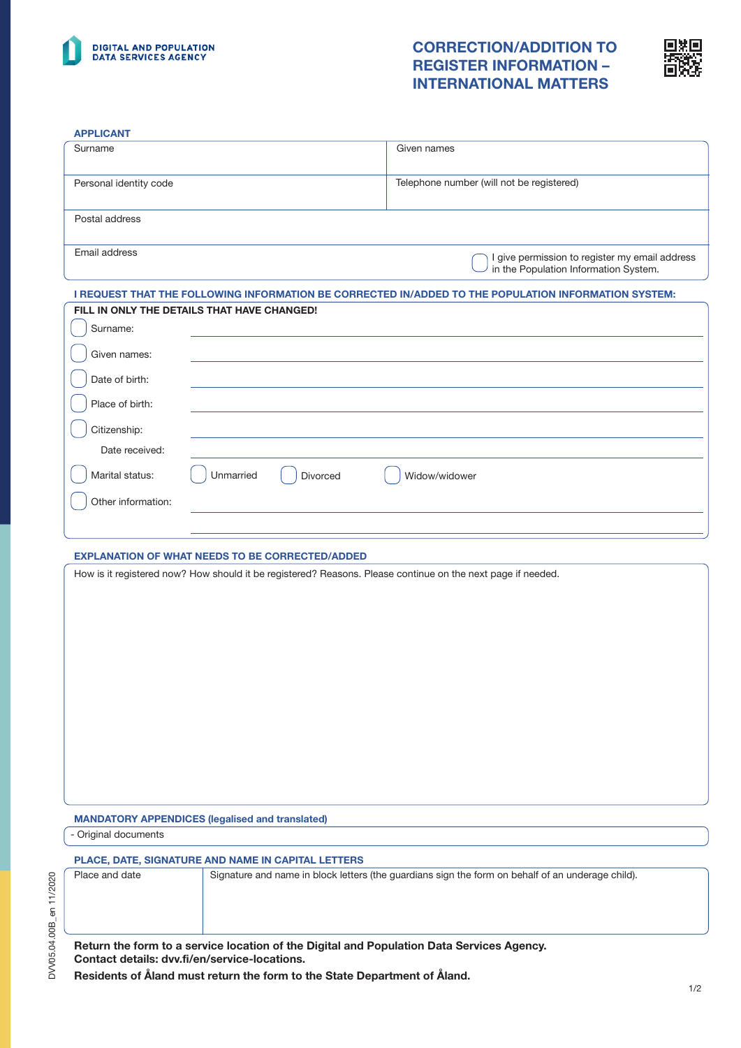

## CORRECTION/ADDITION TO REGISTER INFORMATION – INTERNATIONAL MATTERS



#### APPLICANT

| <b>APPLICANT</b>       |                                                                                                             |                                                                                                      |
|------------------------|-------------------------------------------------------------------------------------------------------------|------------------------------------------------------------------------------------------------------|
| Surname                |                                                                                                             | Given names                                                                                          |
| Personal identity code |                                                                                                             | Telephone number (will not be registered)                                                            |
| Postal address         |                                                                                                             |                                                                                                      |
| Email address          |                                                                                                             | I give permission to register my email address<br>in the Population Information System.              |
|                        |                                                                                                             | I REQUEST THAT THE FOLLOWING INFORMATION BE CORRECTED IN/ADDED TO THE POPULATION INFORMATION SYSTEM: |
|                        | FILL IN ONLY THE DETAILS THAT HAVE CHANGED!                                                                 |                                                                                                      |
| Surname:               |                                                                                                             |                                                                                                      |
| Given names:           |                                                                                                             |                                                                                                      |
| Date of birth:         |                                                                                                             |                                                                                                      |
| Place of birth:        |                                                                                                             |                                                                                                      |
| Citizenship:           |                                                                                                             |                                                                                                      |
| Date received:         |                                                                                                             |                                                                                                      |
| Marital status:        | Unmarried<br>Divorced                                                                                       | Widow/widower                                                                                        |
| Other information:     |                                                                                                             |                                                                                                      |
|                        |                                                                                                             |                                                                                                      |
|                        | <b>EXPLANATION OF WHAT NEEDS TO BE CORRECTED/ADDED</b>                                                      |                                                                                                      |
|                        | How is it registered now? How should it be registered? Reasons. Please continue on the next page if needed. |                                                                                                      |
|                        |                                                                                                             |                                                                                                      |
|                        |                                                                                                             |                                                                                                      |
|                        |                                                                                                             |                                                                                                      |
|                        |                                                                                                             |                                                                                                      |
|                        |                                                                                                             |                                                                                                      |

MANDATORY APPENDICES (legalised and translated)

- Original documents

### PLACE, DATE, SIGNATURE AND NAME IN CAPITAL LETTERS

| Place and date                                | Signature and name in block letters (the quardians sign the form on behalf of an underage child). |
|-----------------------------------------------|---------------------------------------------------------------------------------------------------|
|                                               |                                                                                                   |
|                                               |                                                                                                   |
|                                               |                                                                                                   |
| Contact details: dvv.fi/en/service-locations. | Return the form to a service location of the Digital and Population Data Services Agency.         |

Residents of Åland must return the form to the State Department of Åland.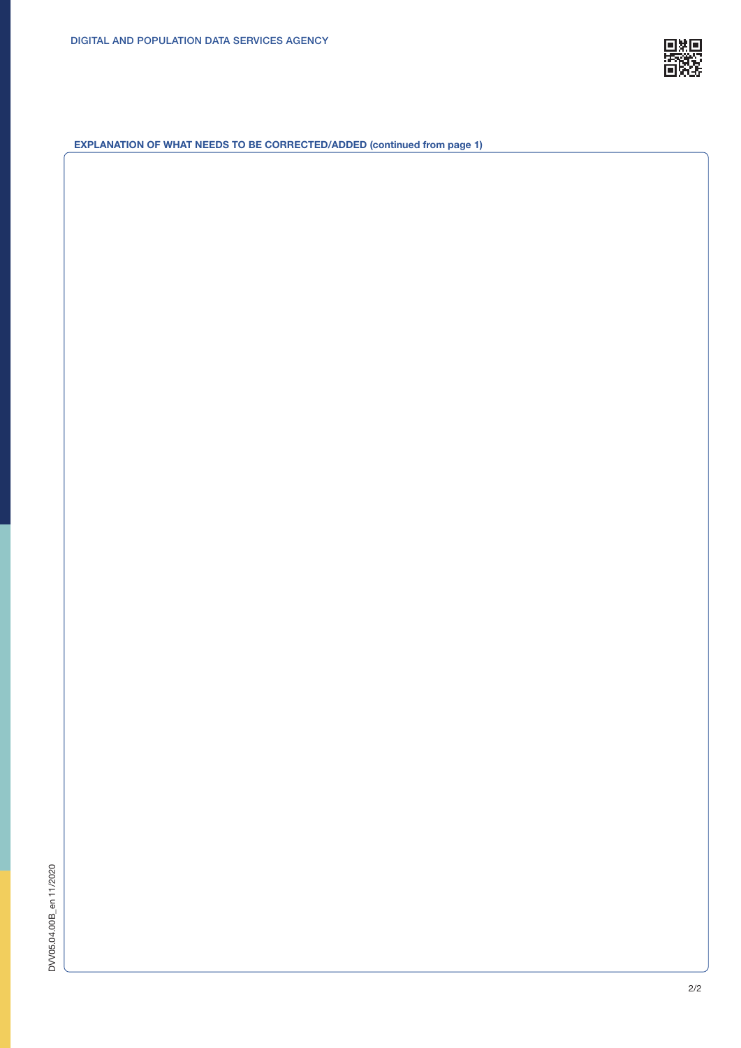

EXPLANATION OF WHAT NEEDS TO BE CORRECTED/ADDED (continued from page 1)